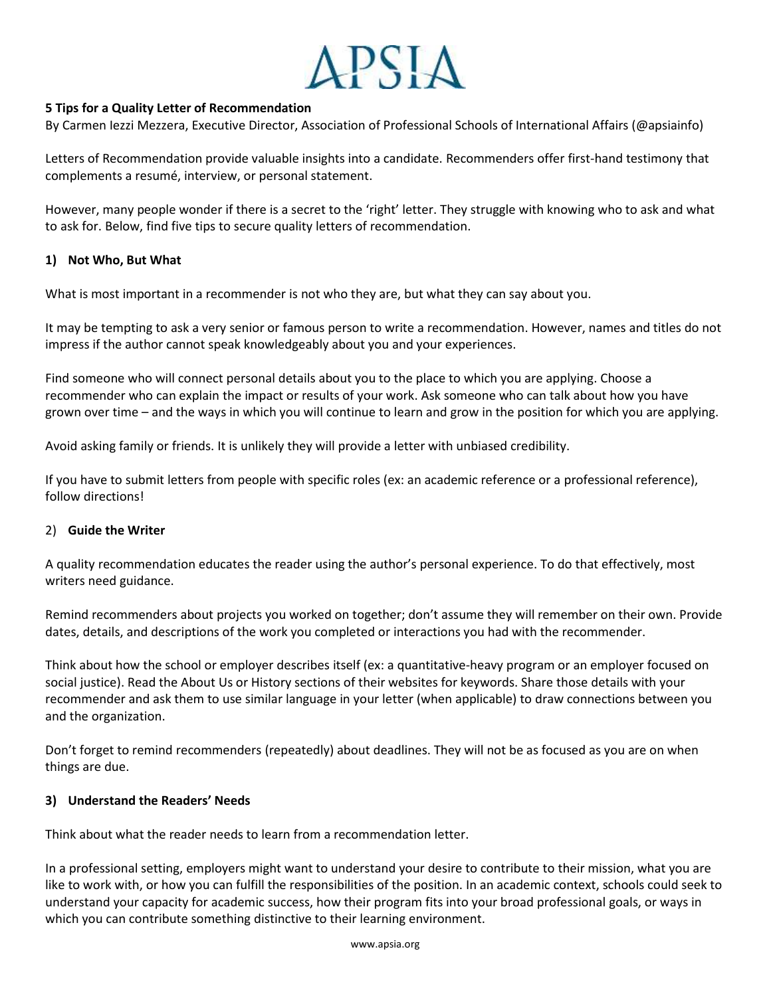# **APSIA**

## **5 Tips for a Quality Letter of Recommendation**

By Carmen Iezzi Mezzera, Executive Director, Association of Professional Schools of International Affairs (@apsiainfo)

Letters of Recommendation provide valuable insights into a candidate. Recommenders offer first-hand testimony that complements a resumé, interview, or personal statement.

However, many people wonder if there is a secret to the 'right' letter. They struggle with knowing who to ask and what to ask for. Below, find five tips to secure quality letters of recommendation.

#### **1) Not Who, But What**

What is most important in a recommender is not who they are, but what they can say about you.

It may be tempting to ask a very senior or famous person to write a recommendation. However, names and titles do not impress if the author cannot speak knowledgeably about you and your experiences.

Find someone who will connect personal details about you to the place to which you are applying. Choose a recommender who can explain the impact or results of your work. Ask someone who can talk about how you have grown over time – and the ways in which you will continue to learn and grow in the position for which you are applying.

Avoid asking family or friends. It is unlikely they will provide a letter with unbiased credibility.

If you have to submit letters from people with specific roles (ex: an academic reference or a professional reference), follow directions!

#### 2) **Guide the Writer**

A quality recommendation educates the reader using the author's personal experience. To do that effectively, most writers need guidance.

Remind recommenders about projects you worked on together; don't assume they will remember on their own. Provide dates, details, and descriptions of the work you completed or interactions you had with the recommender.

Think about how the school or employer describes itself (ex: a quantitative-heavy program or an employer focused on social justice). Read the About Us or History sections of their websites for keywords. Share those details with your recommender and ask them to use similar language in your letter (when applicable) to draw connections between you and the organization.

Don't forget to remind recommenders (repeatedly) about deadlines. They will not be as focused as you are on when things are due.

#### **3) Understand the Readers' Needs**

Think about what the reader needs to learn from a recommendation letter.

In a professional setting, employers might want to understand your desire to contribute to their mission, what you are like to work with, or how you can fulfill the responsibilities of the position. In an academic context, schools could seek to understand your capacity for academic success, how their program fits into your broad professional goals, or ways in which you can contribute something distinctive to their learning environment.